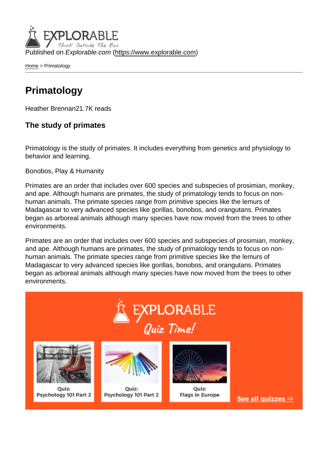Published on Explorable.com (<https://www.explorable.com>)

[Home](https://www.explorable.com/) > Primatology

## Primatology

Heather Brennan21.7K reads

The study of primates

Primatology is the study of primates. It includes everything from genetics and physiology to behavior and learning.

Bonobos, Play & Humanity

Primates are an order that includes over 600 species and subspecies of prosimian, monkey, and ape. Although humans are primates, the study of primatology tends to focus on nonhuman animals. The primate species range from primitive species like the lemurs of Madagascar to very advanced species like gorillas, bonobos, and orangutans. Primates began as arboreal animals although many species have now moved from the trees to other environments.

Primates are an order that includes over 600 species and subspecies of prosimian, monkey, and ape. Although humans are primates, the study of primatology tends to focus on nonhuman animals. The primate species range from primitive species like the lemurs of Madagascar to very advanced species like gorillas, bonobos, and orangutans. Primates began as arboreal animals although many species have now moved from the trees to other environments.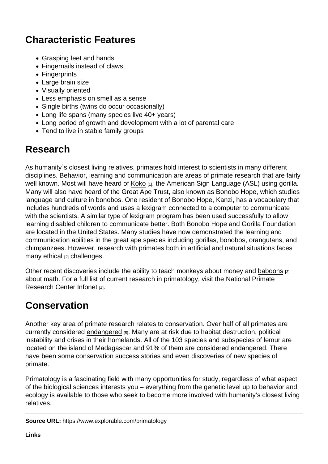## Characteristic Features

- Grasping feet and hands
- Fingernails instead of claws
- Fingerprints
- Large brain size
- Visually oriented
- Less emphasis on smell as a sense
- Single births (twins do occur occasionally)
- Long life spans (many species live 40+ years)
- Long period of growth and development with a lot of parental care
- Tend to live in stable family groups

## Research

As humanity`s closest living relatives, primates hold interest to scientists in many different disciplines. Behavior, learning and communication are areas of primate research that are fairly well known. Most will have heard of [Koko](http://www.nbcbayarea.com/news/local/Koko-the-Gorilla-Gets-a-Makeover-196628391.html) [1], the American Sign Language (ASL) using gorilla. Many will also have heard of the Great Ape Trust, also known as Bonobo Hope, which studies language and culture in bonobos. One resident of Bonobo Hope, Kanzi, has a vocabulary that includes hundreds of words and uses a lexigram connected to a computer to communicate with the scientists. A similar type of lexigram program has been used successfully to allow learning disabled children to communicate better. Both Bonobo Hope and Gorilla Foundation are located in the United States. Many studies have now demonstrated the learning and communication abilities in the great ape species including gorillas, bonobos, orangutans, and chimpanzees. However, research with primates both in artificial and natural situations faces many [ethical](http://www.academia.edu/310935/Field_primatology_of_today_Current_ethical_issues) [2] challenges.

Other recent discoveries include the ability to teach monkeys about money and [baboons](http://www.sciencedaily.com/releases/2013/05/130503132719.htm) [3] about math. For a full list of current research in primatology, visit the [National Primate](http://pin.primate.wisc.edu/news/inthenews/)  [Research Center Infonet](http://pin.primate.wisc.edu/news/inthenews/) [4].

## Conservation

Another key area of primate research relates to conservation. Over half of all primates are currently considered [endangered](http://www.iucn.org/news_homepage/?11259/Primates-in-peril--conservationists-reveal-the-worlds-25-most-endangered-primates) [5]. Many are at risk due to habitat destruction, political instability and crises in their homelands. All of the 103 species and subspecies of lemur are located on the island of Madagascar and 91% of them are considered endangered. There have been some conservation success stories and even discoveries of new species of primate.

Primatology is a fascinating field with many opportunities for study, regardless of what aspect of the biological sciences interests you – everything from the genetic level up to behavior and ecology is available to those who seek to become more involved with humanity's closest living relatives.

Source URL: https://www.explorable.com/primatology